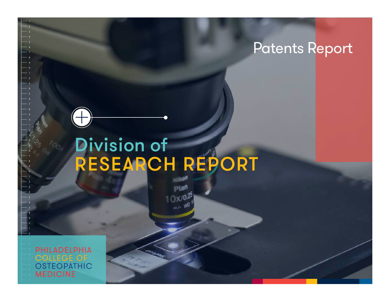# Division of RESEARCH REPORT

PHILADELPHIA **OLLEGE OF OSTEOPATHIC MEDICINE**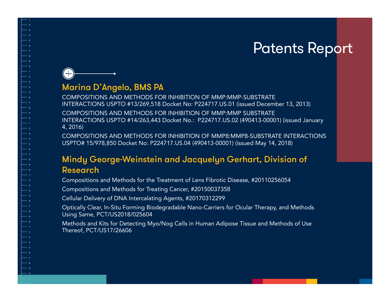### Marina D'Angelo, BMS PA

 $(+)$ 

COMPOSITIONS AND METHODS FOR INHIBITION OF MMP:MMP-SUBSTRATE INTERACTIONS USPTO #13/269,518 Docket No: P224717.US.01 (issued December 13, 2013)

COMPOSITIONS AND METHODS FOR INHIBITION OF MMP:MMP SUBSTRATE INTERACTIONS USPTO #14/263,443 Docket No.: P224717.US.02 (490413-00001) (issued January 4, 2016)

COMPOSITIONS AND METHODS FOR INHIBITION OF MMP8:MMP8-SUBSTRATE INTERACTIONS USPTO# 15/978,850 Docket No: P224717.US.04 (490413-00001) (issued May 14, 2018)

#### Mindy George-Weinstein and Jacquelyn Gerhart, Division of Research

Compositions and Methods for the Treatment of Lens Fibrotic Disease, #20110256054

Compositions and Methods for Treating Cancer, #20150037358

Cellular Delivery of DNA Intercalating Agents, #20170312299

Optically Clear, In-Situ Forming Biodegradable Nano-Carriers for Ocular Therapy, and Methods Using Same, PCT/US2018/025604

Methods and Kits for Detecting Myo/Nog Cells in Human Adipose Tissue and Methods of Use Thereof, PCT/US17/26606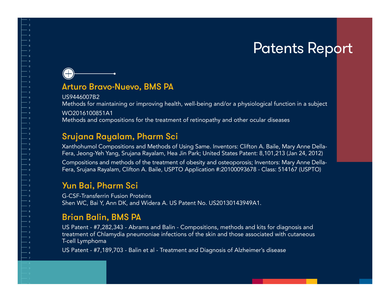### $(+)$ Arturo Bravo-Nuevo, BMS PA

US9446007B2 Methods for maintaining or improving health, well-being and/or a physiological function in a subject WO2016100851A1 Methods and compositions for the treatment of retinopathy and other ocular diseases

#### Srujana Rayalam, Pharm Sci

Xanthohumol Compositions and Methods of Using Same. Inventors: Clifton A. Baile, Mary Anne Della-Fera, Jeong-Yeh Yang, Srujana Rayalam, Hea Jin Park; United States Patent: 8,101,213 (Jan 24, 2012)

Compositions and methods of the treatment of obesity and osteoporosis; Inventors: Mary Anne Della-Fera, Srujana Rayalam, Clifton A. Baile, USPTO Application #:20100093678 - Class: 514167 (USPTO)

#### Yun Bai, Pharm Sci

G-CSF-Transferrin Fusion Proteins Shen WC, Bai Y, Ann DK, and Widera A. US Patent No. US20130143949A1.

#### Brian Balin, BMS PA

US Patent - #7,282,343 - Abrams and Balin - Compositions, methods and kits for diagnosis and treatment of Chlamydia pneumoniae infections of the skin and those associated with cutaneous T-cell Lymphoma

US Patent - #7,189,703 - Balin et al - Treatment and Diagnosis of Alzheimer's disease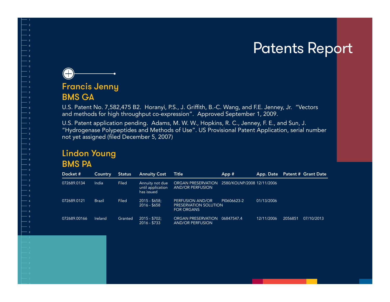

BMS GA

U.S. Patent No. 7,582,475 B2. Horanyi, P.S., J. Griffith, B.-C. Wang, and F.E. Jenney, Jr. "Vectors and methods for high throughput co-expression". Approved September 1, 2009.

U.S. Patent application pending. Adams, M. W. W., Hopkins, R. C., Jenney, F. E., and Sun, J. "Hydrogenase Polypeptides and Methods of Use". US Provisional Patent Application, serial number not yet assigned (filed December 5, 2007)

#### Lindon Young BMS PA

| Docket#      | Country        | <b>Status</b> | <b>Annuity Cost</b>                                | <b>Title</b>                                                   | App#                       | App. Date  | <b>Patent # Grant Date</b> |
|--------------|----------------|---------------|----------------------------------------------------|----------------------------------------------------------------|----------------------------|------------|----------------------------|
| 072689.0134  | India          | Filed         | Annuity not due<br>until application<br>has issued | ORGAN PRESERVATION<br><b>AND/OR PERFUSION</b>                  | 2580/KOLNP/2008 12/11/2006 |            |                            |
| 072689.0121  | <b>Brazil</b>  | Filed         | $2015 - $658$ ;<br>$2016 - $658$                   | PERFUSION AND/OR<br>PRESERVATION SOLUTION<br><b>FOR ORGANS</b> | PI0606623-2                | 01/13/2006 |                            |
| 072689.00166 | <b>Ireland</b> | Granted       | $2015 - $702$ :<br>$2016 - $733$                   | <b>ORGAN PRESERVATION</b><br><b>AND/OR PERFUSION</b>           | 06847547.4                 | 12/11/2006 | 2056851<br>07/10/2013      |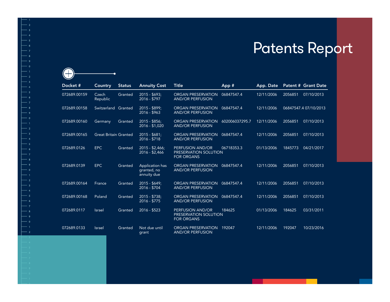| Docket#      | Country                      | <b>Status</b> | <b>Annuity Cost</b>                           | <b>Title</b>                                                   | App#           | App. Date  |         | Patent # Grant Date   |
|--------------|------------------------------|---------------|-----------------------------------------------|----------------------------------------------------------------|----------------|------------|---------|-----------------------|
| 072689.00159 | Czech<br>Republic            | Granted       | $2015 - $693$ ;<br>$2016 - $797$              | <b>ORGAN PRESERVATION</b><br><b>AND/OR PERFUSION</b>           | 06847547.4     | 12/11/2006 | 2056851 | 07/10/2013            |
| 072689.00158 | Switzerland                  | Granted       | $2015 - $899$ ;<br>$2016 - $963$              | <b>ORGAN PRESERVATION</b><br><b>AND/OR PERFUSION</b>           | 06847547.4     | 12/11/2006 |         | 06847547.4 07/10/2013 |
| 072689.00160 | Germany                      | Granted       | $2015 - $856$ ;<br>$2016 - $1,020$            | <b>ORGAN PRESERVATION</b><br><b>AND/OR PERFUSION</b>           | 602006037295.7 | 12/11/2006 | 2056851 | 07/10/2013            |
| 072689.00165 | <b>Great Britain Granted</b> |               | $2015 - $681$<br>2016 - \$718                 | <b>ORGAN PRESERVATION</b><br><b>AND/OR PERFUSION</b>           | 06847547.4     | 12/11/2006 | 2056851 | 07/10/2013            |
| 072689.0126  | <b>EPC</b>                   | Granted       | $2015 - $2,466$ ;<br>$2016 - $2,466$          | PERFUSION AND/OR<br>PRESERVATION SOLUTION<br><b>FOR ORGANS</b> | 06718353.3     | 01/13/2006 | 1845773 | 04/21/2017            |
| 072689.0139  | <b>EPC</b>                   | Granted       | Application has<br>granted, no<br>annuity due | <b>ORGAN PRESERVATION</b><br><b>AND/OR PERFUSION</b>           | 06847547.4     | 12/11/2006 | 2056851 | 07/10/2013            |
| 072689.00164 | France                       | Granted       | $2015 - $649$ :<br>$2016 - $704$              | <b>ORGAN PRESERVATION</b><br><b>AND/OR PERFUSION</b>           | 06847547.4     | 12/11/2006 | 2056851 | 07/10/2013            |
| 072689.00168 | Poland                       | Granted       | $2015 - $738$<br>$2016 - $775$                | <b>ORGAN PRESERVATION</b><br><b>AND/OR PERFUSION</b>           | 06847547.4     | 12/11/2006 | 2056851 | 07/10/2013            |
| 072689.0117  | <b>Israel</b>                | Granted       | 2016 - \$523                                  | PERFUSION AND/OR<br>PRESERVATION SOLUTION<br><b>FOR ORGANS</b> | 184625         | 01/13/2006 | 184625  | 03/31/2011            |
| 072689.0133  | <b>Israel</b>                | Granted       | Not due until<br>grant                        | <b>ORGAN PRESERVATION</b><br><b>AND/OR PERFUSION</b>           | 192047         | 12/11/2006 | 192047  | 10/23/2016            |

 $\bigodot$